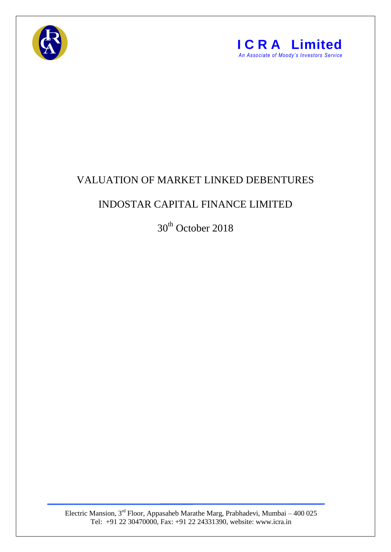



## VALUATION OF MARKET LINKED DEBENTURES

## INDOSTAR CAPITAL FINANCE LIMITED

30<sup>th</sup> October 2018

Electric Mansion,  $3<sup>rd</sup>$  Floor, Appasaheb Marathe Marg, Prabhadevi, Mumbai – 400 025 Tel: +91 22 30470000, Fax: +91 22 24331390, website: www.icra.in